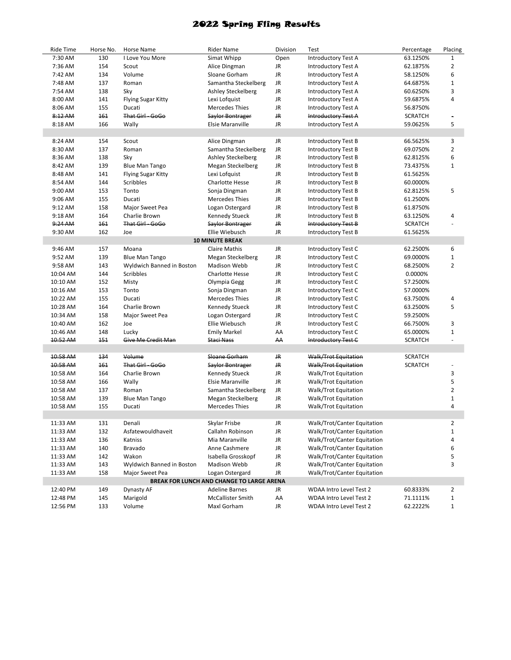## 2022 Spring Fling Results

| Ride Time | Horse No. | Horse Name                | <b>Rider Name</b>                         | Division | Test                        | Percentage     | Placing        |
|-----------|-----------|---------------------------|-------------------------------------------|----------|-----------------------------|----------------|----------------|
| 7:30 AM   | 130       | I Love You More           | Simat Whipp                               | Open     | <b>Introductory Test A</b>  | 63.1250%       | $\mathbf{1}$   |
| 7:36 AM   | 154       | Scout                     | Alice Dingman                             | JR       | <b>Introductory Test A</b>  | 62.1875%       | $\overline{2}$ |
| 7:42 AM   | 134       | Volume                    | Sloane Gorham                             | JR       | Introductory Test A         | 58.1250%       | 6              |
| 7:48 AM   | 137       | Roman                     | Samantha Steckelberg                      | JR       | Introductory Test A         | 64.6875%       | $\mathbf{1}$   |
| 7:54 AM   | 138       | Sky                       | Ashley Steckelberg                        | JR.      | <b>Introductory Test A</b>  | 60.6250%       | 3              |
| 8:00 AM   | 141       | <b>Flying Sugar Kitty</b> | Lexi Lofquist                             | JR       | <b>Introductory Test A</b>  | 59.6875%       | 4              |
| 8:06 AM   | 155       | Ducati                    | <b>Mercedes Thies</b>                     | JR       | Introductory Test A         | 56.8750%       |                |
| 8:12 AM   | 161       | That Girl - GoGo          | Saylor Bontrager                          | JR       | Introductory Test A         | <b>SCRATCH</b> | $\blacksquare$ |
| 8:18 AM   | 166       | Wally                     | <b>Elsie Maranville</b>                   | JR       | <b>Introductory Test A</b>  | 59.0625%       | 5              |
|           |           |                           |                                           |          |                             |                |                |
| 8:24 AM   | 154       | Scout                     | Alice Dingman                             | JR       | Introductory Test B         | 66.5625%       | 3              |
| 8:30 AM   | 137       | Roman                     | Samantha Steckelberg                      | JR       | Introductory Test B         | 69.0750%       | $\overline{2}$ |
| 8:36 AM   | 138       | Sky                       | <b>Ashley Steckelberg</b>                 | JR       | <b>Introductory Test B</b>  | 62.8125%       | 6              |
| 8:42 AM   | 139       | <b>Blue Man Tango</b>     | Megan Steckelberg                         | JR       | <b>Introductory Test B</b>  | 73.4375%       | $\mathbf{1}$   |
| 8:48 AM   | 141       | <b>Flying Sugar Kitty</b> | Lexi Lofquist                             | JR       | <b>Introductory Test B</b>  | 61.5625%       |                |
| 8:54 AM   | 144       | Scribbles                 | <b>Charlotte Hesse</b>                    | JR       | <b>Introductory Test B</b>  | 60.0000%       |                |
| 9:00 AM   | 153       | Tonto                     | Sonja Dingman                             | JR       | <b>Introductory Test B</b>  | 62.8125%       | 5              |
| 9:06 AM   | 155       | Ducati                    | <b>Mercedes Thies</b>                     | JR       | <b>Introductory Test B</b>  | 61.2500%       |                |
| 9:12 AM   | 158       | Major Sweet Pea           | Logan Ostergard                           | JR       | Introductory Test B         | 61.8750%       |                |
| 9:18 AM   | 164       | Charlie Brown             | <b>Kennedy Stueck</b>                     | JR       | <b>Introductory Test B</b>  | 63.1250%       | 4              |
| 9:24 AM   | 161       | That Girl GoGo            | Saylor Bontrager                          | JR       | Introductory Test B         | <b>SCRATCH</b> |                |
| 9:30 AM   | 162       | Joe                       | Ellie Wiebusch                            | JR       | Introductory Test B         | 61.5625%       |                |
|           |           |                           | <b>10 MINUTE BREAK</b>                    |          |                             |                |                |
| 9:46 AM   | 157       | Moana                     | <b>Claire Mathis</b>                      | JR       | Introductory Test C         | 62.2500%       | 6              |
| 9:52 AM   | 139       | <b>Blue Man Tango</b>     | Megan Steckelberg                         | JR       | Introductory Test C         | 69.0000%       | $\mathbf 1$    |
| 9:58 AM   | 143       | Wyldwich Banned in Boston | <b>Madison Webb</b>                       | JR       | Introductory Test C         | 68.2500%       | $\overline{2}$ |
| 10:04 AM  | 144       | Scribbles                 | <b>Charlotte Hesse</b>                    | JR       | Introductory Test C         | 0.0000%        |                |
| 10:10 AM  | 152       | Misty                     | Olympia Gegg                              | JR       | Introductory Test C         | 57.2500%       |                |
| 10:16 AM  | 153       | Tonto                     | Sonja Dingman                             | JR       | Introductory Test C         | 57.0000%       |                |
| 10:22 AM  | 155       | Ducati                    | <b>Mercedes Thies</b>                     | JR       | Introductory Test C         | 63.7500%       | 4              |
| 10:28 AM  | 164       | Charlie Brown             | <b>Kennedy Stueck</b>                     | JR       | Introductory Test C         | 63.2500%       | 5              |
| 10:34 AM  | 158       | Major Sweet Pea           | Logan Ostergard                           | JR.      | Introductory Test C         | 59.2500%       |                |
| 10:40 AM  | 162       | Joe                       | Ellie Wiebusch                            | JR       | Introductory Test C         | 66.7500%       | 3              |
| 10:46 AM  | 148       | Lucky                     | <b>Emily Markel</b>                       | AA       | Introductory Test C         | 65.0000%       | $\mathbf{1}$   |
| 10:52 AM  | 151       | Give Me Credit Man        | Staci Nass                                | АΑ       | Introductory Test C         | <b>SCRATCH</b> | ÷,             |
|           |           |                           |                                           |          |                             |                |                |
| 10:58 AM  | 134       | Volume                    | Sloane Gorham                             | JR.      | Walk/Trot Equitation        | <b>SCRATCH</b> |                |
| 10:58 AM  | 161       | That Girl - GoGo          | Saylor Bontrager                          | JR.      | <b>Walk/Trot Equitation</b> | <b>SCRATCH</b> |                |
| 10:58 AM  | 164       | Charlie Brown             | <b>Kennedy Stueck</b>                     | JR       | Walk/Trot Equitation        |                | 3              |
| 10:58 AM  | 166       | Wally                     | <b>Elsie Maranville</b>                   | JR       | Walk/Trot Equitation        |                | 5              |
| 10:58 AM  | 137       | Roman                     | Samantha Steckelberg                      | JR       | Walk/Trot Equitation        |                | $\overline{2}$ |
| 10:58 AM  | 139       | <b>Blue Man Tango</b>     | Megan Steckelberg                         | JR       | Walk/Trot Equitation        |                | $\mathbf{1}$   |
| 10:58 AM  | 155       | Ducati                    | <b>Mercedes Thies</b>                     | JR       | Walk/Trot Equitation        |                | 4              |
|           |           |                           |                                           |          |                             |                |                |
| 11:33 AM  | 131       | Denali                    | Skylar Frisbe                             | JR       | Walk/Trot/Canter Equitation |                | 2              |
| 11:33 AM  | 132       | Asfatewouldhaveit         | Callahn Robinson                          | JR       | Walk/Trot/Canter Equitation |                | $\mathbf{1}$   |
| 11:33 AM  | 136       | Katniss                   | Mia Maranville                            | JR       | Walk/Trot/Canter Equitation |                | 4              |
| 11:33 AM  | 140       | Bravado                   | Anne Cashmere                             | JR       | Walk/Trot/Canter Equitation |                | 6              |
| 11:33 AM  | 142       | Wakon                     | Isabella Grosskopf                        | JR       | Walk/Trot/Canter Equitation |                | 5              |
| 11:33 AM  | 143       | Wyldwich Banned in Boston | Madison Webb                              | JR       | Walk/Trot/Canter Equitation |                | 3              |
| 11:33 AM  | 158       | Major Sweet Pea           | Logan Ostergard                           | JR       | Walk/Trot/Canter Equitation |                |                |
|           |           |                           | BREAK FOR LUNCH AND CHANGE TO LARGE ARENA |          |                             |                |                |
| 12:40 PM  | 149       | Dynasty AF                | <b>Adeline Barnes</b>                     | JR       | WDAA Intro Level Test 2     | 60.8333%       | $\overline{2}$ |
| 12:48 PM  | 145       | Marigold                  | McCallister Smith                         | AA       | WDAA Intro Level Test 2     | 71.1111%       | $\mathbf 1$    |
| 12:56 PM  | 133       | Volume                    | Maxl Gorham                               | JR       | WDAA Intro Level Test 2     | 62.2222%       | $\mathbf 1$    |